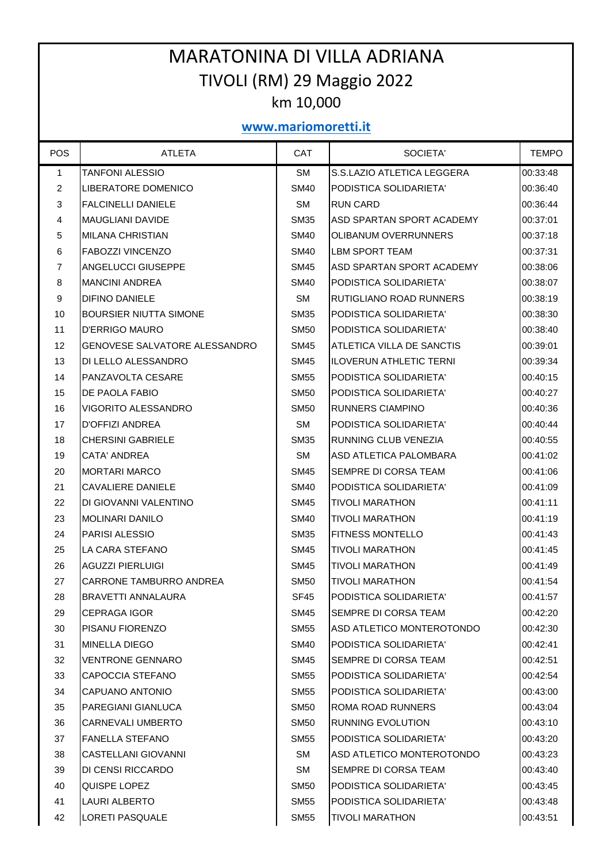## MARATONINA DI VILLA ADRIANA TIVOLI (RM) 29 Maggio 2022 km 10,000

## **www.mariomoretti.it**

| <b>POS</b>     | <b>ATLETA</b>                 | <b>CAT</b>  | SOCIETA'                    | <b>TEMPO</b> |
|----------------|-------------------------------|-------------|-----------------------------|--------------|
| $\mathbf{1}$   | <b>TANFONI ALESSIO</b>        | <b>SM</b>   | S.S.LAZIO ATLETICA LEGGERA  | 00:33:48     |
| $\overline{2}$ | <b>LIBERATORE DOMENICO</b>    | SM40        | PODISTICA SOLIDARIETA'      | 00:36:40     |
| 3              | <b>FALCINELLI DANIELE</b>     | <b>SM</b>   | <b>RUN CARD</b>             | 00:36:44     |
| $\overline{4}$ | <b>MAUGLIANI DAVIDE</b>       | <b>SM35</b> | ASD SPARTAN SPORT ACADEMY   | 00:37:01     |
| 5              | <b>MILANA CHRISTIAN</b>       | <b>SM40</b> | OLIBANUM OVERRUNNERS        | 00:37:18     |
| 6              | FABOZZI VINCENZO              | <b>SM40</b> | LBM SPORT TEAM              | 00:37:31     |
| $\overline{7}$ | ANGELUCCI GIUSEPPE            | SM45        | ASD SPARTAN SPORT ACADEMY   | 00:38:06     |
| 8              | MANCINI ANDREA                | SM40        | PODISTICA SOLIDARIETA'      | 00:38:07     |
| 9              | DIFINO DANIELE                | <b>SM</b>   | RUTIGLIANO ROAD RUNNERS     | 00:38:19     |
| 10             | BOURSIER NIUTTA SIMONE        | <b>SM35</b> | PODISTICA SOLIDARIETA'      | 00:38:30     |
| 11             | D'ERRIGO MAURO                | SM50        | PODISTICA SOLIDARIETA'      | 00:38:40     |
| 12             | GENOVESE SALVATORE ALESSANDRO | SM45        | ATLETICA VILLA DE SANCTIS   | 00:39:01     |
| 13             | DI LELLO ALESSANDRO           | SM45        | ILOVERUN ATHLETIC TERNI     | 00:39:34     |
| 14             | PANZAVOLTA CESARE             | SM55        | PODISTICA SOLIDARIETA'      | 00:40:15     |
| 15             | DE PAOLA FABIO                | SM50        | PODISTICA SOLIDARIETA'      | 00:40:27     |
| 16             | <b>VIGORITO ALESSANDRO</b>    | SM50        | <b>RUNNERS CIAMPINO</b>     | 00:40:36     |
| 17             | D'OFFIZI ANDREA               | <b>SM</b>   | PODISTICA SOLIDARIETA'      | 00:40:44     |
| 18             | CHERSINI GABRIELE             | <b>SM35</b> | RUNNING CLUB VENEZIA        | 00:40:55     |
| 19             | CATA' ANDREA                  | <b>SM</b>   | ASD ATLETICA PALOMBARA      | 00:41:02     |
| 20             | <b>MORTARI MARCO</b>          | <b>SM45</b> | SEMPRE DI CORSA TEAM        | 00:41:06     |
| 21             | CAVALIERE DANIELE             | <b>SM40</b> | PODISTICA SOLIDARIETA'      | 00:41:09     |
| 22             | DI GIOVANNI VALENTINO         | SM45        | <b>TIVOLI MARATHON</b>      | 00:41:11     |
| 23             | <b>MOLINARI DANILO</b>        | <b>SM40</b> | <b>TIVOLI MARATHON</b>      | 00:41:19     |
| 24             | PARISI ALESSIO                | <b>SM35</b> | <b>FITNESS MONTELLO</b>     | 00:41:43     |
| 25             | <b>LA CARA STEFANO</b>        | SM45        | <b>TIVOLI MARATHON</b>      | 00:41:45     |
| 26             | <b>AGUZZI PIERLUIGI</b>       | SM45        | <b>TIVOLI MARATHON</b>      | 00:41:49     |
| 27             | CARRONE TAMBURRO ANDREA       | SM50        | <b>TIVOLI MARATHON</b>      | 00:41:54     |
| 28             | BRAVETTI ANNALAURA            | <b>SF45</b> | PODISTICA SOLIDARIETA'      | 00:41:57     |
| 29             | <b>CEPRAGA IGOR</b>           | <b>SM45</b> | <b>SEMPRE DI CORSA TEAM</b> | 00:42:20     |
| 30             | PISANU FIORENZO               | <b>SM55</b> | ASD ATLETICO MONTEROTONDO   | 00:42:30     |
| 31             | <b>MINELLA DIEGO</b>          | <b>SM40</b> | PODISTICA SOLIDARIETA'      | 00:42:41     |
| 32             | <b>VENTRONE GENNARO</b>       | <b>SM45</b> | SEMPRE DI CORSA TEAM        | 00:42:51     |
| 33             | CAPOCCIA STEFANO              | <b>SM55</b> | PODISTICA SOLIDARIETA'      | 00:42:54     |
| 34             | CAPUANO ANTONIO               | <b>SM55</b> | PODISTICA SOLIDARIETA'      | 00:43:00     |
| 35             | PAREGIANI GIANLUCA            | <b>SM50</b> | <b>ROMA ROAD RUNNERS</b>    | 00:43:04     |
| 36             | CARNEVALI UMBERTO             | <b>SM50</b> | <b>RUNNING EVOLUTION</b>    | 00:43:10     |
| 37             | <b>FANELLA STEFANO</b>        | <b>SM55</b> | PODISTICA SOLIDARIETA'      | 00:43:20     |
| 38             | CASTELLANI GIOVANNI           | SM          | ASD ATLETICO MONTEROTONDO   | 00:43:23     |
| 39             | DI CENSI RICCARDO             | SM.         | <b>SEMPRE DI CORSA TEAM</b> | 00:43:40     |
| 40             | QUISPE LOPEZ                  | <b>SM50</b> | PODISTICA SOLIDARIETA'      | 00:43:45     |
| 41             | LAURI ALBERTO                 | <b>SM55</b> | PODISTICA SOLIDARIETA'      | 00:43:48     |
| 42             | <b>LORETI PASQUALE</b>        | SM55        | <b>TIVOLI MARATHON</b>      | 00:43:51     |
|                |                               |             |                             |              |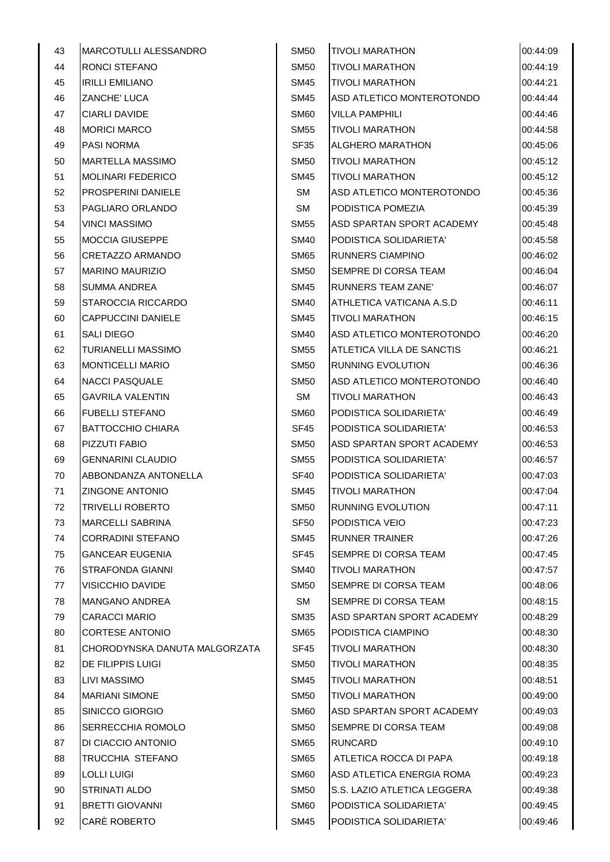| 43 | <b>MARCOTULLI ALESSANDRO</b>  | <b>SM50</b>      | <b>TIVOLI MARATHON</b>      | 00:44:09 |
|----|-------------------------------|------------------|-----------------------------|----------|
| 44 | RONCI STEFANO                 | <b>SM50</b>      | <b>TIVOLI MARATHON</b>      | 00:44:19 |
| 45 | <b>IRILLI EMILIANO</b>        | <b>SM45</b>      | <b>TIVOLI MARATHON</b>      | 00:44:21 |
| 46 | ZANCHE' LUCA                  | SM45             | ASD ATLETICO MONTEROTONDO   | 00:44:44 |
| 47 | <b>CIARLI DAVIDE</b>          | SM <sub>60</sub> | <b>VILLA PAMPHILI</b>       | 00:44:46 |
| 48 | <b>MORICI MARCO</b>           | <b>SM55</b>      | <b>TIVOLI MARATHON</b>      | 00:44:58 |
| 49 | <b>PASI NORMA</b>             | <b>SF35</b>      | <b>ALGHERO MARATHON</b>     | 00:45:06 |
| 50 | <b>MARTELLA MASSIMO</b>       | <b>SM50</b>      | <b>TIVOLI MARATHON</b>      | 00:45:12 |
| 51 | <b>MOLINARI FEDERICO</b>      | <b>SM45</b>      | <b>TIVOLI MARATHON</b>      | 00:45:12 |
| 52 | <b>PROSPERINI DANIELE</b>     | <b>SM</b>        | ASD ATLETICO MONTEROTONDO   | 00:45:36 |
| 53 | PAGLIARO ORLANDO              | <b>SM</b>        | PODISTICA POMEZIA           | 00:45:39 |
| 54 | <b>VINCI MASSIMO</b>          | <b>SM55</b>      | ASD SPARTAN SPORT ACADEMY   | 00:45:48 |
| 55 | <b>MOCCIA GIUSEPPE</b>        | <b>SM40</b>      | PODISTICA SOLIDARIETA'      | 00:45:58 |
| 56 | CRETAZZO ARMANDO              | <b>SM65</b>      | <b>RUNNERS CIAMPINO</b>     | 00:46:02 |
| 57 | <b>MARINO MAURIZIO</b>        | <b>SM50</b>      | SEMPRE DI CORSA TEAM        | 00:46:04 |
| 58 | <b>SUMMA ANDREA</b>           | <b>SM45</b>      | <b>RUNNERS TEAM ZANE'</b>   | 00:46:07 |
| 59 | STAROCCIA RICCARDO            | <b>SM40</b>      | ATHLETICA VATICANA A.S.D    | 00:46:11 |
| 60 | <b>CAPPUCCINI DANIELE</b>     | <b>SM45</b>      | <b>TIVOLI MARATHON</b>      | 00:46:15 |
| 61 | SALI DIEGO                    | <b>SM40</b>      | ASD ATLETICO MONTEROTONDO   | 00:46:20 |
| 62 | TURIANELLI MASSIMO            | <b>SM55</b>      | ATLETICA VILLA DE SANCTIS   | 00:46:21 |
| 63 | <b>MONTICELLI MARIO</b>       | <b>SM50</b>      | <b>RUNNING EVOLUTION</b>    | 00:46:36 |
| 64 | <b>NACCI PASQUALE</b>         | <b>SM50</b>      | ASD ATLETICO MONTEROTONDO   | 00:46:40 |
| 65 | <b>GAVRILA VALENTIN</b>       | SM               | <b>TIVOLI MARATHON</b>      | 00:46:43 |
| 66 | <b>FUBELLI STEFANO</b>        | SM <sub>60</sub> | PODISTICA SOLIDARIETA'      | 00:46:49 |
| 67 | <b>BATTOCCHIO CHIARA</b>      | SF <sub>45</sub> | PODISTICA SOLIDARIETA'      | 00:46:53 |
| 68 | PIZZUTI FABIO                 | <b>SM50</b>      | ASD SPARTAN SPORT ACADEMY   | 00:46:53 |
| 69 | <b>GENNARINI CLAUDIO</b>      | <b>SM55</b>      | PODISTICA SOLIDARIETA'      | 00:46:57 |
| 70 | ABBONDANZA ANTONELLA          | SF <sub>40</sub> | PODISTICA SOLIDARIETA'      | 00:47:03 |
| 71 | <b>ZINGONE ANTONIO</b>        | <b>SM45</b>      | <b>TIVOLI MARATHON</b>      | 00:47:04 |
| 72 | <b>TRIVELLI ROBERTO</b>       | <b>SM50</b>      | <b>RUNNING EVOLUTION</b>    | 00:47:11 |
| 73 | <b>MARCELLI SABRINA</b>       | <b>SF50</b>      | PODISTICA VEIO              | 00:47:23 |
| 74 | <b>CORRADINI STEFANO</b>      | <b>SM45</b>      | <b>RUNNER TRAINER</b>       | 00:47:26 |
| 75 | <b>GANCEAR EUGENIA</b>        | SF45             | SEMPRE DI CORSA TEAM        | 00:47:45 |
| 76 | STRAFONDA GIANNI              | <b>SM40</b>      | <b>TIVOLI MARATHON</b>      | 00:47:57 |
| 77 | VISICCHIO DAVIDE              | <b>SM50</b>      | SEMPRE DI CORSA TEAM        | 00:48:06 |
| 78 | <b>MANGANO ANDREA</b>         | <b>SM</b>        | SEMPRE DI CORSA TEAM        | 00:48:15 |
| 79 | <b>CARACCI MARIO</b>          | <b>SM35</b>      | ASD SPARTAN SPORT ACADEMY   | 00:48:29 |
| 80 | <b>CORTESE ANTONIO</b>        | <b>SM65</b>      | PODISTICA CIAMPINO          | 00:48:30 |
| 81 | CHORODYNSKA DANUTA MALGORZATA | SF <sub>45</sub> | <b>TIVOLI MARATHON</b>      | 00:48:30 |
| 82 | DE FILIPPIS LUIGI             | SM50             | <b>TIVOLI MARATHON</b>      | 00:48:35 |
| 83 | <b>LIVI MASSIMO</b>           | <b>SM45</b>      | <b>TIVOLI MARATHON</b>      | 00:48:51 |
| 84 | <b>MARIANI SIMONE</b>         | <b>SM50</b>      | <b>TIVOLI MARATHON</b>      | 00:49:00 |
| 85 | SINICCO GIORGIO               | SM <sub>60</sub> | ASD SPARTAN SPORT ACADEMY   | 00:49:03 |
| 86 | <b>SERRECCHIA ROMOLO</b>      | <b>SM50</b>      | SEMPRE DI CORSA TEAM        | 00:49:08 |
| 87 | DI CIACCIO ANTONIO            | SM <sub>65</sub> | <b>RUNCARD</b>              | 00:49:10 |
| 88 | TRUCCHIA STEFANO              | <b>SM65</b>      | ATLETICA ROCCA DI PAPA      | 00:49:18 |
| 89 | <b>LOLLI LUIGI</b>            | SM <sub>60</sub> | ASD ATLETICA ENERGIA ROMA   | 00:49:23 |
| 90 | STRINATI ALDO                 | <b>SM50</b>      | S.S. LAZIO ATLETICA LEGGERA | 00:49:38 |
| 91 | <b>BRETTI GIOVANNI</b>        | SM <sub>60</sub> | PODISTICA SOLIDARIETA'      | 00:49:45 |
| 92 | CARÈ ROBERTO                  | <b>SM45</b>      | PODISTICA SOLIDARIETA'      | 00:49:46 |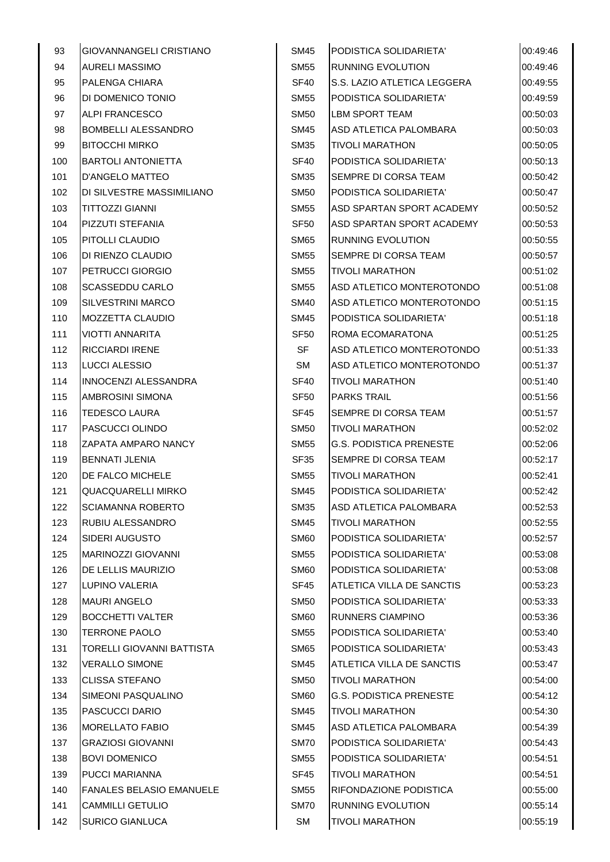| 93  | <b>GIOVANNANGELI CRISTIANO</b>  | <b>SM45</b>      | PODISTICA SOLIDARIETA'         | 00:49:46 |
|-----|---------------------------------|------------------|--------------------------------|----------|
| 94  | <b>AURELI MASSIMO</b>           | <b>SM55</b>      | <b>RUNNING EVOLUTION</b>       | 00:49:46 |
| 95  | PALENGA CHIARA                  | <b>SF40</b>      | S.S. LAZIO ATLETICA LEGGERA    | 00:49:55 |
| 96  | DI DOMENICO TONIO               | <b>SM55</b>      | PODISTICA SOLIDARIETA'         | 00:49:59 |
| 97  | <b>ALPI FRANCESCO</b>           | <b>SM50</b>      | <b>LBM SPORT TEAM</b>          | 00:50:03 |
| 98  | <b>BOMBELLI ALESSANDRO</b>      | <b>SM45</b>      | ASD ATLETICA PALOMBARA         | 00:50:03 |
| 99  | <b>BITOCCHI MIRKO</b>           | <b>SM35</b>      | <b>TIVOLI MARATHON</b>         | 00:50:05 |
| 100 | <b>BARTOLI ANTONIETTA</b>       | SF40             | PODISTICA SOLIDARIETA'         | 00:50:13 |
| 101 | <b>D'ANGELO MATTEO</b>          | <b>SM35</b>      | SEMPRE DI CORSA TEAM           | 00:50:42 |
| 102 | DI SILVESTRE MASSIMILIANO       | <b>SM50</b>      | PODISTICA SOLIDARIETA'         | 00:50:47 |
| 103 | <b>TITTOZZI GIANNI</b>          | <b>SM55</b>      | ASD SPARTAN SPORT ACADEMY      | 00:50:52 |
| 104 | PIZZUTI STEFANIA                | SF <sub>50</sub> | ASD SPARTAN SPORT ACADEMY      | 00:50:53 |
| 105 | PITOLLI CLAUDIO                 | <b>SM65</b>      | <b>RUNNING EVOLUTION</b>       | 00:50:55 |
| 106 | DI RIENZO CLAUDIO               | <b>SM55</b>      | SEMPRE DI CORSA TEAM           | 00:50:57 |
| 107 | PETRUCCI GIORGIO                | <b>SM55</b>      | <b>TIVOLI MARATHON</b>         | 00:51:02 |
| 108 | SCASSEDDU CARLO                 | <b>SM55</b>      | ASD ATLETICO MONTEROTONDO      | 00:51:08 |
| 109 | <b>SILVESTRINI MARCO</b>        | <b>SM40</b>      | ASD ATLETICO MONTEROTONDO      | 00:51:15 |
| 110 | <b>MOZZETTA CLAUDIO</b>         | <b>SM45</b>      | PODISTICA SOLIDARIETA'         | 00:51:18 |
| 111 | <b>VIOTTI ANNARITA</b>          | SF <sub>50</sub> | ROMA ECOMARATONA               | 00:51:25 |
| 112 | <b>RICCIARDI IRENE</b>          | SF               | ASD ATLETICO MONTEROTONDO      | 00:51:33 |
| 113 | LUCCI ALESSIO                   | <b>SM</b>        | ASD ATLETICO MONTEROTONDO      | 00:51:37 |
| 114 | INNOCENZI ALESSANDRA            | SF40             | <b>TIVOLI MARATHON</b>         | 00:51:40 |
| 115 | AMBROSINI SIMONA                | SF <sub>50</sub> | <b>PARKS TRAIL</b>             | 00:51:56 |
| 116 | <b>TEDESCO LAURA</b>            | SF45             | SEMPRE DI CORSA TEAM           | 00:51:57 |
| 117 | PASCUCCI OLINDO                 | <b>SM50</b>      | <b>TIVOLI MARATHON</b>         | 00:52:02 |
| 118 | ZAPATA AMPARO NANCY             | <b>SM55</b>      | <b>G.S. PODISTICA PRENESTE</b> | 00:52:06 |
| 119 | <b>BENNATI JLENIA</b>           | SF35             | <b>SEMPRE DI CORSA TEAM</b>    | 00:52:17 |
| 120 | DE FALCO MICHELE                | <b>SM55</b>      | <b>TIVOLI MARATHON</b>         | 00:52:41 |
| 121 | QUACQUARELLI MIRKO              | <b>SM45</b>      | PODISTICA SOLIDARIETA'         | 00:52:42 |
| 122 | <b>SCIAMANNA ROBERTO</b>        | <b>SM35</b>      | ASD ATLETICA PALOMBARA         | 00:52:53 |
| 123 | RUBIU ALESSANDRO                | <b>SM45</b>      | <b>TIVOLI MARATHON</b>         | 00:52:55 |
| 124 | SIDERI AUGUSTO                  | <b>SM60</b>      | PODISTICA SOLIDARIETA'         | 00:52:57 |
| 125 | <b>MARINOZZI GIOVANNI</b>       | <b>SM55</b>      | PODISTICA SOLIDARIETA'         | 00:53:08 |
| 126 | DE LELLIS MAURIZIO              | SM <sub>60</sub> | PODISTICA SOLIDARIETA'         | 00:53:08 |
| 127 | LUPINO VALERIA                  | SF <sub>45</sub> | ATLETICA VILLA DE SANCTIS      | 00:53:23 |
| 128 | <b>MAURI ANGELO</b>             | <b>SM50</b>      | PODISTICA SOLIDARIETA'         | 00:53:33 |
| 129 | <b>BOCCHETTI VALTER</b>         | <b>SM60</b>      | RUNNERS CIAMPINO               | 00:53:36 |
| 130 | <b>TERRONE PAOLO</b>            | <b>SM55</b>      | PODISTICA SOLIDARIETA'         | 00:53:40 |
| 131 | TORELLI GIOVANNI BATTISTA       | <b>SM65</b>      | PODISTICA SOLIDARIETA'         | 00:53:43 |
| 132 | <b>VERALLO SIMONE</b>           | <b>SM45</b>      | ATLETICA VILLA DE SANCTIS      | 00:53:47 |
| 133 | <b>CLISSA STEFANO</b>           | <b>SM50</b>      | <b>TIVOLI MARATHON</b>         | 00:54:00 |
| 134 | SIMEONI PASQUALINO              | <b>SM60</b>      | <b>G.S. PODISTICA PRENESTE</b> | 00:54:12 |
| 135 | <b>PASCUCCI DARIO</b>           | <b>SM45</b>      | <b>TIVOLI MARATHON</b>         | 00:54:30 |
| 136 | MORELLATO FABIO                 | <b>SM45</b>      | ASD ATLETICA PALOMBARA         | 00:54:39 |
| 137 | <b>GRAZIOSI GIOVANNI</b>        | <b>SM70</b>      | PODISTICA SOLIDARIETA'         | 00:54:43 |
| 138 | <b>BOVI DOMENICO</b>            | <b>SM55</b>      | PODISTICA SOLIDARIETA'         | 00:54:51 |
| 139 | PUCCI MARIANNA                  | SF45             | <b>TIVOLI MARATHON</b>         | 00:54:51 |
| 140 | <b>FANALES BELASIO EMANUELE</b> | <b>SM55</b>      | RIFONDAZIONE PODISTICA         | 00:55:00 |
| 141 | <b>CAMMILLI GETULIO</b>         | <b>SM70</b>      | RUNNING EVOLUTION              | 00:55:14 |
| 142 | SURICO GIANLUCA                 | SM               | <b>TIVOLI MARATHON</b>         | 00:55:19 |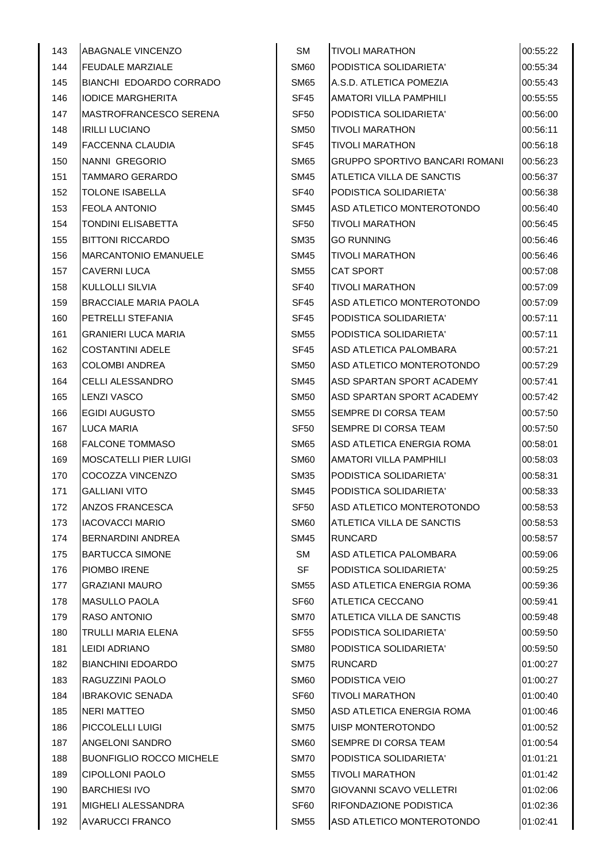| 144<br><b>FEUDALE MARZIALE</b><br>PODISTICA SOLIDARIETA'<br>00:55:34<br><b>SM60</b><br>BIANCHI EDOARDO CORRADO<br>A.S.D. ATLETICA POMEZIA<br>00:55:43<br>145<br><b>SM65</b><br>AMATORI VILLA PAMPHILI<br>146<br><b>IODICE MARGHERITA</b><br>SF45<br>00:55:55<br>147<br>PODISTICA SOLIDARIETA'<br>MASTROFRANCESCO SERENA<br>SF <sub>50</sub><br>00:56:00<br>148<br><b>IRILLI LUCIANO</b><br><b>SM50</b><br><b>TIVOLI MARATHON</b><br>00:56:11<br>149<br>FACCENNA CLAUDIA<br><b>TIVOLI MARATHON</b><br>00:56:18<br><b>SF45</b><br>NANNI GREGORIO<br><b>SM65</b><br><b>GRUPPO SPORTIVO BANCARI ROMANI</b><br>150<br>00:56:23<br>151<br>TAMMARO GERARDO<br><b>SM45</b><br>ATLETICA VILLA DE SANCTIS<br>00:56:37<br><b>TOLONE ISABELLA</b><br>152<br>SF <sub>40</sub><br>PODISTICA SOLIDARIETA'<br>00:56:38<br>153<br>ASD ATLETICO MONTEROTONDO<br><b>FEOLA ANTONIO</b><br><b>SM45</b><br>00:56:40<br>154<br>TONDINI ELISABETTA<br><b>TIVOLI MARATHON</b><br><b>SF50</b><br>00:56:45<br>155<br><b>BITTONI RICCARDO</b><br><b>SM35</b><br><b>GO RUNNING</b><br>00:56:46<br><b>TIVOLI MARATHON</b><br>156<br><b>MARCANTONIO EMANUELE</b><br><b>SM45</b><br>00:56:46<br>157<br><b>CAVERNI LUCA</b><br><b>SM55</b><br><b>CAT SPORT</b><br>00:57:08<br>158<br>KULLOLLI SILVIA<br>SF <sub>40</sub><br><b>TIVOLI MARATHON</b><br>00:57:09<br>ASD ATLETICO MONTEROTONDO<br>159<br><b>BRACCIALE MARIA PAOLA</b><br>SF <sub>45</sub><br>00:57:09<br>PETRELLI STEFANIA<br>160<br>SF45<br>PODISTICA SOLIDARIETA'<br>00:57:11 |
|-------------------------------------------------------------------------------------------------------------------------------------------------------------------------------------------------------------------------------------------------------------------------------------------------------------------------------------------------------------------------------------------------------------------------------------------------------------------------------------------------------------------------------------------------------------------------------------------------------------------------------------------------------------------------------------------------------------------------------------------------------------------------------------------------------------------------------------------------------------------------------------------------------------------------------------------------------------------------------------------------------------------------------------------------------------------------------------------------------------------------------------------------------------------------------------------------------------------------------------------------------------------------------------------------------------------------------------------------------------------------------------------------------------------------------------------------------------------------------------------------------------|
|                                                                                                                                                                                                                                                                                                                                                                                                                                                                                                                                                                                                                                                                                                                                                                                                                                                                                                                                                                                                                                                                                                                                                                                                                                                                                                                                                                                                                                                                                                             |
|                                                                                                                                                                                                                                                                                                                                                                                                                                                                                                                                                                                                                                                                                                                                                                                                                                                                                                                                                                                                                                                                                                                                                                                                                                                                                                                                                                                                                                                                                                             |
|                                                                                                                                                                                                                                                                                                                                                                                                                                                                                                                                                                                                                                                                                                                                                                                                                                                                                                                                                                                                                                                                                                                                                                                                                                                                                                                                                                                                                                                                                                             |
|                                                                                                                                                                                                                                                                                                                                                                                                                                                                                                                                                                                                                                                                                                                                                                                                                                                                                                                                                                                                                                                                                                                                                                                                                                                                                                                                                                                                                                                                                                             |
|                                                                                                                                                                                                                                                                                                                                                                                                                                                                                                                                                                                                                                                                                                                                                                                                                                                                                                                                                                                                                                                                                                                                                                                                                                                                                                                                                                                                                                                                                                             |
|                                                                                                                                                                                                                                                                                                                                                                                                                                                                                                                                                                                                                                                                                                                                                                                                                                                                                                                                                                                                                                                                                                                                                                                                                                                                                                                                                                                                                                                                                                             |
|                                                                                                                                                                                                                                                                                                                                                                                                                                                                                                                                                                                                                                                                                                                                                                                                                                                                                                                                                                                                                                                                                                                                                                                                                                                                                                                                                                                                                                                                                                             |
|                                                                                                                                                                                                                                                                                                                                                                                                                                                                                                                                                                                                                                                                                                                                                                                                                                                                                                                                                                                                                                                                                                                                                                                                                                                                                                                                                                                                                                                                                                             |
|                                                                                                                                                                                                                                                                                                                                                                                                                                                                                                                                                                                                                                                                                                                                                                                                                                                                                                                                                                                                                                                                                                                                                                                                                                                                                                                                                                                                                                                                                                             |
|                                                                                                                                                                                                                                                                                                                                                                                                                                                                                                                                                                                                                                                                                                                                                                                                                                                                                                                                                                                                                                                                                                                                                                                                                                                                                                                                                                                                                                                                                                             |
|                                                                                                                                                                                                                                                                                                                                                                                                                                                                                                                                                                                                                                                                                                                                                                                                                                                                                                                                                                                                                                                                                                                                                                                                                                                                                                                                                                                                                                                                                                             |
|                                                                                                                                                                                                                                                                                                                                                                                                                                                                                                                                                                                                                                                                                                                                                                                                                                                                                                                                                                                                                                                                                                                                                                                                                                                                                                                                                                                                                                                                                                             |
|                                                                                                                                                                                                                                                                                                                                                                                                                                                                                                                                                                                                                                                                                                                                                                                                                                                                                                                                                                                                                                                                                                                                                                                                                                                                                                                                                                                                                                                                                                             |
|                                                                                                                                                                                                                                                                                                                                                                                                                                                                                                                                                                                                                                                                                                                                                                                                                                                                                                                                                                                                                                                                                                                                                                                                                                                                                                                                                                                                                                                                                                             |
|                                                                                                                                                                                                                                                                                                                                                                                                                                                                                                                                                                                                                                                                                                                                                                                                                                                                                                                                                                                                                                                                                                                                                                                                                                                                                                                                                                                                                                                                                                             |
|                                                                                                                                                                                                                                                                                                                                                                                                                                                                                                                                                                                                                                                                                                                                                                                                                                                                                                                                                                                                                                                                                                                                                                                                                                                                                                                                                                                                                                                                                                             |
|                                                                                                                                                                                                                                                                                                                                                                                                                                                                                                                                                                                                                                                                                                                                                                                                                                                                                                                                                                                                                                                                                                                                                                                                                                                                                                                                                                                                                                                                                                             |
| 161<br><b>GRANIERI LUCA MARIA</b><br><b>SM55</b><br>PODISTICA SOLIDARIETA'<br>00:57:11                                                                                                                                                                                                                                                                                                                                                                                                                                                                                                                                                                                                                                                                                                                                                                                                                                                                                                                                                                                                                                                                                                                                                                                                                                                                                                                                                                                                                      |
| 162<br><b>COSTANTINI ADELE</b><br>ASD ATLETICA PALOMBARA<br>SF45<br>00:57:21                                                                                                                                                                                                                                                                                                                                                                                                                                                                                                                                                                                                                                                                                                                                                                                                                                                                                                                                                                                                                                                                                                                                                                                                                                                                                                                                                                                                                                |
| <b>COLOMBI ANDREA</b><br>ASD ATLETICO MONTEROTONDO<br>163<br><b>SM50</b><br>00:57:29                                                                                                                                                                                                                                                                                                                                                                                                                                                                                                                                                                                                                                                                                                                                                                                                                                                                                                                                                                                                                                                                                                                                                                                                                                                                                                                                                                                                                        |
| 164<br>CELLI ALESSANDRO<br><b>SM45</b><br>ASD SPARTAN SPORT ACADEMY<br>00:57:41                                                                                                                                                                                                                                                                                                                                                                                                                                                                                                                                                                                                                                                                                                                                                                                                                                                                                                                                                                                                                                                                                                                                                                                                                                                                                                                                                                                                                             |
| 165<br>LENZI VASCO<br><b>SM50</b><br>ASD SPARTAN SPORT ACADEMY<br>00:57:42                                                                                                                                                                                                                                                                                                                                                                                                                                                                                                                                                                                                                                                                                                                                                                                                                                                                                                                                                                                                                                                                                                                                                                                                                                                                                                                                                                                                                                  |
| 166<br>EGIDI AUGUSTO<br>SEMPRE DI CORSA TEAM<br><b>SM55</b><br>00:57:50                                                                                                                                                                                                                                                                                                                                                                                                                                                                                                                                                                                                                                                                                                                                                                                                                                                                                                                                                                                                                                                                                                                                                                                                                                                                                                                                                                                                                                     |
| <b>SF50</b><br>SEMPRE DI CORSA TEAM<br>167<br>LUCA MARIA<br>00:57:50                                                                                                                                                                                                                                                                                                                                                                                                                                                                                                                                                                                                                                                                                                                                                                                                                                                                                                                                                                                                                                                                                                                                                                                                                                                                                                                                                                                                                                        |
| <b>SM65</b><br>168<br><b>FALCONE TOMMASO</b><br>ASD ATLETICA ENERGIA ROMA<br>00:58:01                                                                                                                                                                                                                                                                                                                                                                                                                                                                                                                                                                                                                                                                                                                                                                                                                                                                                                                                                                                                                                                                                                                                                                                                                                                                                                                                                                                                                       |
| 169<br><b>MOSCATELLI PIER LUIGI</b><br>SM <sub>60</sub><br><b>AMATORI VILLA PAMPHILI</b><br>00:58:03                                                                                                                                                                                                                                                                                                                                                                                                                                                                                                                                                                                                                                                                                                                                                                                                                                                                                                                                                                                                                                                                                                                                                                                                                                                                                                                                                                                                        |
| COCOZZA VINCENZO<br>PODISTICA SOLIDARIETA'<br>00:58:31<br>170<br><b>SM35</b>                                                                                                                                                                                                                                                                                                                                                                                                                                                                                                                                                                                                                                                                                                                                                                                                                                                                                                                                                                                                                                                                                                                                                                                                                                                                                                                                                                                                                                |
| 171<br><b>GALLIANI VITO</b><br><b>SM45</b><br>PODISTICA SOLIDARIETA'<br>00:58:33                                                                                                                                                                                                                                                                                                                                                                                                                                                                                                                                                                                                                                                                                                                                                                                                                                                                                                                                                                                                                                                                                                                                                                                                                                                                                                                                                                                                                            |
| 172<br><b>ANZOS FRANCESCA</b><br><b>SF50</b><br>ASD ATLETICO MONTEROTONDO<br>00:58:53                                                                                                                                                                                                                                                                                                                                                                                                                                                                                                                                                                                                                                                                                                                                                                                                                                                                                                                                                                                                                                                                                                                                                                                                                                                                                                                                                                                                                       |
| ATLETICA VILLA DE SANCTIS<br>173<br>IACOVACCI MARIO<br><b>SM60</b><br>00:58:53                                                                                                                                                                                                                                                                                                                                                                                                                                                                                                                                                                                                                                                                                                                                                                                                                                                                                                                                                                                                                                                                                                                                                                                                                                                                                                                                                                                                                              |
| 174<br>BERNARDINI ANDREA<br><b>SM45</b><br><b>RUNCARD</b><br>00:58:57                                                                                                                                                                                                                                                                                                                                                                                                                                                                                                                                                                                                                                                                                                                                                                                                                                                                                                                                                                                                                                                                                                                                                                                                                                                                                                                                                                                                                                       |
| <b>SM</b><br>175<br><b>BARTUCCA SIMONE</b><br>ASD ATLETICA PALOMBARA<br>00:59:06                                                                                                                                                                                                                                                                                                                                                                                                                                                                                                                                                                                                                                                                                                                                                                                                                                                                                                                                                                                                                                                                                                                                                                                                                                                                                                                                                                                                                            |
| <b>SF</b><br>176<br>PIOMBO IRENE<br>PODISTICA SOLIDARIETA'<br>00:59:25                                                                                                                                                                                                                                                                                                                                                                                                                                                                                                                                                                                                                                                                                                                                                                                                                                                                                                                                                                                                                                                                                                                                                                                                                                                                                                                                                                                                                                      |
| ASD ATLETICA ENERGIA ROMA<br>177<br><b>GRAZIANI MAURO</b><br><b>SM55</b><br>00:59:36                                                                                                                                                                                                                                                                                                                                                                                                                                                                                                                                                                                                                                                                                                                                                                                                                                                                                                                                                                                                                                                                                                                                                                                                                                                                                                                                                                                                                        |
| MASULLO PAOLA<br>ATLETICA CECCANO<br>178<br>SF <sub>60</sub><br>00:59:41                                                                                                                                                                                                                                                                                                                                                                                                                                                                                                                                                                                                                                                                                                                                                                                                                                                                                                                                                                                                                                                                                                                                                                                                                                                                                                                                                                                                                                    |
| <b>ATLETICA VILLA DE SANCTIS</b><br>179<br>RASO ANTONIO<br><b>SM70</b><br>00:59:48                                                                                                                                                                                                                                                                                                                                                                                                                                                                                                                                                                                                                                                                                                                                                                                                                                                                                                                                                                                                                                                                                                                                                                                                                                                                                                                                                                                                                          |
| 180<br>TRULLI MARIA ELENA<br><b>SF55</b><br>PODISTICA SOLIDARIETA'<br>00:59:50                                                                                                                                                                                                                                                                                                                                                                                                                                                                                                                                                                                                                                                                                                                                                                                                                                                                                                                                                                                                                                                                                                                                                                                                                                                                                                                                                                                                                              |
| <b>LEIDI ADRIANO</b><br>181<br><b>SM80</b><br>PODISTICA SOLIDARIETA'<br>00:59:50                                                                                                                                                                                                                                                                                                                                                                                                                                                                                                                                                                                                                                                                                                                                                                                                                                                                                                                                                                                                                                                                                                                                                                                                                                                                                                                                                                                                                            |
| 182<br><b>BIANCHINI EDOARDO</b><br><b>SM75</b><br><b>RUNCARD</b><br>01:00:27                                                                                                                                                                                                                                                                                                                                                                                                                                                                                                                                                                                                                                                                                                                                                                                                                                                                                                                                                                                                                                                                                                                                                                                                                                                                                                                                                                                                                                |
| RAGUZZINI PAOLO<br>PODISTICA VEIO<br>183<br><b>SM60</b><br>01:00:27                                                                                                                                                                                                                                                                                                                                                                                                                                                                                                                                                                                                                                                                                                                                                                                                                                                                                                                                                                                                                                                                                                                                                                                                                                                                                                                                                                                                                                         |
| 184<br><b>IBRAKOVIC SENADA</b><br>SF <sub>60</sub><br><b>TIVOLI MARATHON</b><br>01:00:40                                                                                                                                                                                                                                                                                                                                                                                                                                                                                                                                                                                                                                                                                                                                                                                                                                                                                                                                                                                                                                                                                                                                                                                                                                                                                                                                                                                                                    |
| 185<br><b>NERI MATTEO</b><br><b>SM50</b><br>ASD ATLETICA ENERGIA ROMA<br>01:00:46                                                                                                                                                                                                                                                                                                                                                                                                                                                                                                                                                                                                                                                                                                                                                                                                                                                                                                                                                                                                                                                                                                                                                                                                                                                                                                                                                                                                                           |
| PICCOLELLI LUIGI<br>UISP MONTEROTONDO<br>186<br><b>SM75</b><br>01:00:52                                                                                                                                                                                                                                                                                                                                                                                                                                                                                                                                                                                                                                                                                                                                                                                                                                                                                                                                                                                                                                                                                                                                                                                                                                                                                                                                                                                                                                     |
| ANGELONI SANDRO<br>SEMPRE DI CORSA TEAM<br>187<br><b>SM60</b><br>01:00:54                                                                                                                                                                                                                                                                                                                                                                                                                                                                                                                                                                                                                                                                                                                                                                                                                                                                                                                                                                                                                                                                                                                                                                                                                                                                                                                                                                                                                                   |
| <b>BUONFIGLIO ROCCO MICHELE</b><br>PODISTICA SOLIDARIETA'<br>188<br><b>SM70</b><br>01:01:21                                                                                                                                                                                                                                                                                                                                                                                                                                                                                                                                                                                                                                                                                                                                                                                                                                                                                                                                                                                                                                                                                                                                                                                                                                                                                                                                                                                                                 |
| 189<br>CIPOLLONI PAOLO<br><b>SM55</b><br><b>TIVOLI MARATHON</b><br>01:01:42                                                                                                                                                                                                                                                                                                                                                                                                                                                                                                                                                                                                                                                                                                                                                                                                                                                                                                                                                                                                                                                                                                                                                                                                                                                                                                                                                                                                                                 |
| <b>BARCHIESI IVO</b><br><b>GIOVANNI SCAVO VELLETRI</b><br>190<br><b>SM70</b><br>01:02:06                                                                                                                                                                                                                                                                                                                                                                                                                                                                                                                                                                                                                                                                                                                                                                                                                                                                                                                                                                                                                                                                                                                                                                                                                                                                                                                                                                                                                    |
| 191<br>MIGHELI ALESSANDRA<br>SF <sub>60</sub><br>RIFONDAZIONE PODISTICA<br>01:02:36                                                                                                                                                                                                                                                                                                                                                                                                                                                                                                                                                                                                                                                                                                                                                                                                                                                                                                                                                                                                                                                                                                                                                                                                                                                                                                                                                                                                                         |
| 192<br><b>AVARUCCI FRANCO</b><br><b>SM55</b><br>ASD ATLETICO MONTEROTONDO<br>01:02:41                                                                                                                                                                                                                                                                                                                                                                                                                                                                                                                                                                                                                                                                                                                                                                                                                                                                                                                                                                                                                                                                                                                                                                                                                                                                                                                                                                                                                       |